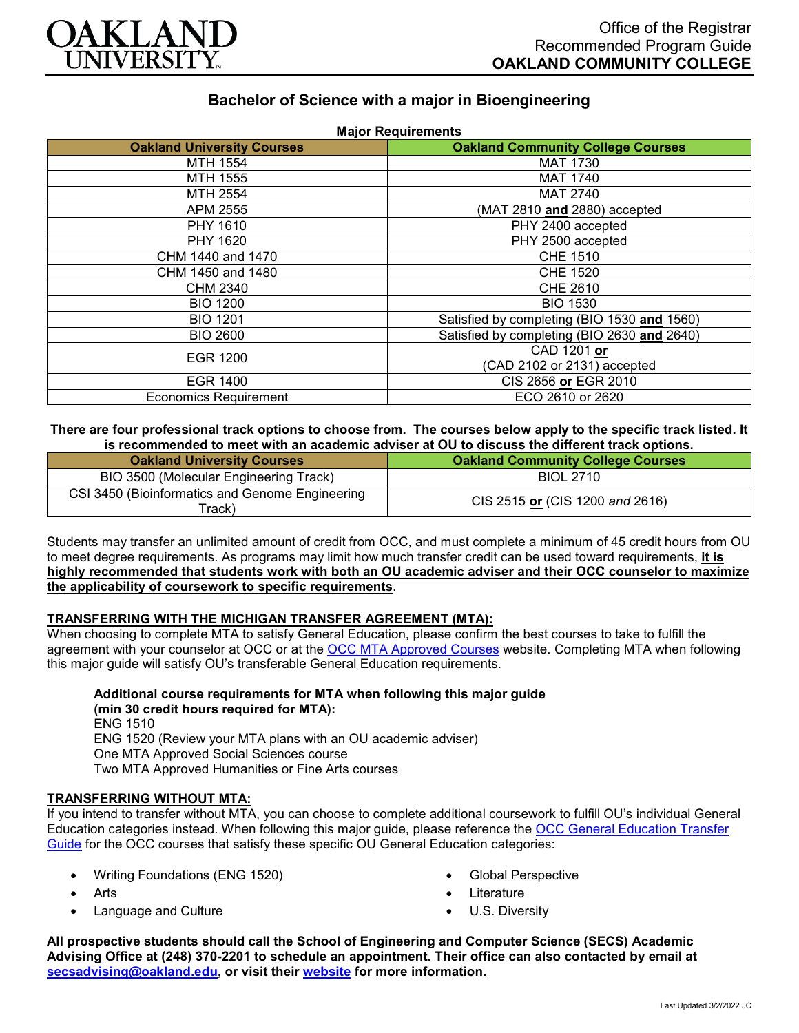

# **Bachelor of Science with a major in Bioengineering**

| <b>Oakland University Courses</b> | <b>Oakland Community College Courses</b>    |
|-----------------------------------|---------------------------------------------|
| MTH 1554                          | <b>MAT 1730</b>                             |
| MTH 1555                          | <b>MAT 1740</b>                             |
| MTH 2554                          | <b>MAT 2740</b>                             |
| APM 2555                          | (MAT 2810 and 2880) accepted                |
| PHY 1610                          | PHY 2400 accepted                           |
| PHY 1620                          | PHY 2500 accepted                           |
| CHM 1440 and 1470                 | <b>CHE 1510</b>                             |
| CHM 1450 and 1480                 | <b>CHE 1520</b>                             |
| CHM 2340                          | <b>CHE 2610</b>                             |
| <b>BIO 1200</b>                   | <b>BIO 1530</b>                             |
| <b>BIO 1201</b>                   | Satisfied by completing (BIO 1530 and 1560) |
| <b>BIO 2600</b>                   | Satisfied by completing (BIO 2630 and 2640) |
| <b>EGR 1200</b>                   | CAD 1201 or                                 |
|                                   | (CAD 2102 or 2131) accepted                 |
| <b>EGR 1400</b>                   | CIS 2656 or EGR 2010                        |
| <b>Economics Requirement</b>      | ECO 2610 or 2620                            |

**There are four professional track options to choose from. The courses below apply to the specific track listed. It is recommended to meet with an academic adviser at OU to discuss the different track options.**

| <b>Oakland University Courses</b>                         | <b>Oakland Community College Courses</b> |
|-----------------------------------------------------------|------------------------------------------|
| BIO 3500 (Molecular Engineering Track)                    | <b>BIOL 2710</b>                         |
| CSI 3450 (Bioinformatics and Genome Engineering<br>「rack) | CIS 2515 or (CIS 1200 and 2616)          |

Students may transfer an unlimited amount of credit from OCC, and must complete a minimum of 45 credit hours from OU to meet degree requirements. As programs may limit how much transfer credit can be used toward requirements, **it is highly recommended that students work with both an OU academic adviser and their OCC counselor to maximize the applicability of coursework to specific requirements**.

#### **TRANSFERRING WITH THE MICHIGAN TRANSFER AGREEMENT (MTA):**

When choosing to complete MTA to satisfy General Education, please confirm the best courses to take to fulfill the agreement with your counselor at OCC or at the [OCC MTA Approved Courses](http://catalog.oaklandcc.edu/graduation-requirements/michigan-transfer-agreement/) website. Completing MTA when following this major guide will satisfy OU's transferable General Education requirements.

**Additional course requirements for MTA when following this major guide (min 30 credit hours required for MTA):** ENG 1510

ENG 1520 (Review your MTA plans with an OU academic adviser) One MTA Approved Social Sciences course

Two MTA Approved Humanities or Fine Arts courses

#### **TRANSFERRING WITHOUT MTA:**

If you intend to transfer without MTA, you can choose to complete additional coursework to fulfill OU's individual General Education categories instead. When following this major guide, please reference the [OCC General Education Transfer](https://www.oakland.edu/Assets/Oakland/program-guides/oakland-community-college/university-general-education-requirements/OCC%20Gen%20Ed.pdf)  [Guide](https://www.oakland.edu/Assets/Oakland/program-guides/oakland-community-college/university-general-education-requirements/OCC%20Gen%20Ed.pdf) for the OCC courses that satisfy these specific OU General Education categories:

- Writing Foundations (ENG 1520)
- Arts
- Language and Culture
- Global Perspective
- **Literature**
- U.S. Diversity

**All prospective students should call the School of Engineering and Computer Science (SECS) Academic Advising Office at (248) 370-2201 to schedule an appointment. Their office can also contacted by email at [secsadvising@oakland.edu,](mailto:secsadvising@oakland.edu) or visit their [website](https://wwwp.oakland.edu/secs/advising/) for more information.**